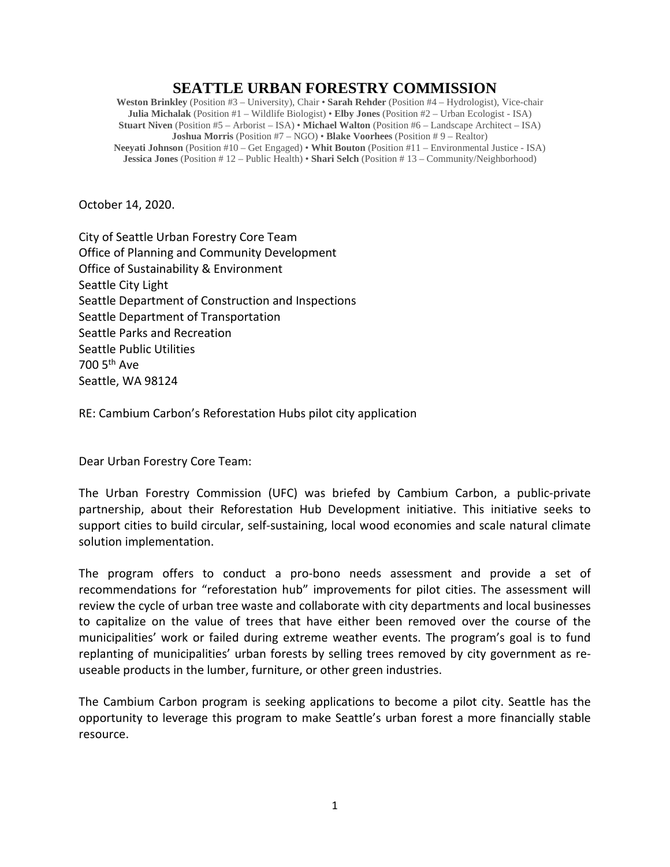## **SEATTLE URBAN FORESTRY COMMISSION**

**Weston Brinkley** (Position #3 – University), Chair • **Sarah Rehder** (Position #4 – Hydrologist), Vice-chair **Julia Michalak** (Position #1 – Wildlife Biologist) • **Elby Jones** (Position #2 – Urban Ecologist - ISA) **Stuart Niven** (Position #5 – Arborist – ISA) • **Michael Walton** (Position #6 – Landscape Architect – ISA) **Joshua Morris** (Position #7 – NGO) • **Blake Voorhees** (Position # 9 – Realtor) **Neeyati Johnson** (Position #10 – Get Engaged) • **Whit Bouton** (Position #11 – Environmental Justice - ISA) **Jessica Jones** (Position # 12 – Public Health) • **Shari Selch** (Position # 13 – Community/Neighborhood)

October 14, 2020.

City of Seattle Urban Forestry Core Team Office of Planning and Community Development Office of Sustainability & Environment Seattle City Light Seattle Department of Construction and Inspections Seattle Department of Transportation Seattle Parks and Recreation Seattle Public Utilities 700 5th Ave Seattle, WA 98124

RE: Cambium Carbon's Reforestation Hubs pilot city application

Dear Urban Forestry Core Team:

The Urban Forestry Commission (UFC) was briefed by Cambium Carbon, a public-private partnership, about their Reforestation Hub Development initiative. This initiative seeks to support cities to build circular, self-sustaining, local wood economies and scale natural climate solution implementation.

The program offers to conduct a pro-bono needs assessment and provide a set of recommendations for "reforestation hub" improvements for pilot cities. The assessment will review the cycle of urban tree waste and collaborate with city departments and local businesses to capitalize on the value of trees that have either been removed over the course of the municipalities' work or failed during extreme weather events. The program's goal is to fund replanting of municipalities' urban forests by selling trees removed by city government as reuseable products in the lumber, furniture, or other green industries.

The Cambium Carbon program is seeking applications to become a pilot city. Seattle has the opportunity to leverage this program to make Seattle's urban forest a more financially stable resource.